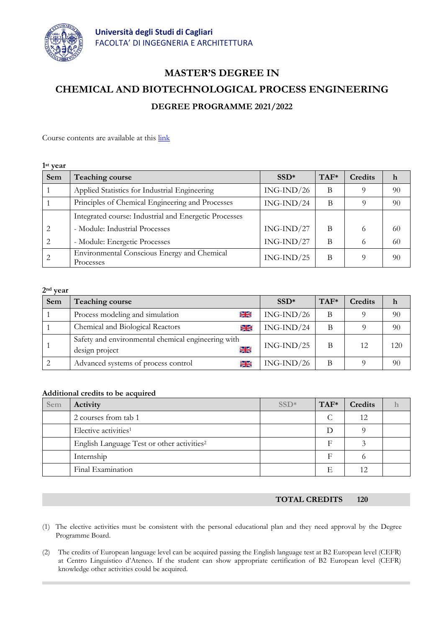

# **MASTER'S DEGREE IN CHEMICAL AND BIOTECHNOLOGICAL PROCESS ENGINEERING DEGREE PROGRAMME 2021/2022**

Course contents are available at this [link](https://unica.esse3.cineca.it/Guide/PaginaRicercaInse.do;jsessionid=6D7868A1A6EC76A5168EA651F5AE7B91?cod_lingua=eng&statoRicerca=INIZIO)

#### **1 st year**

| Sem            | Teaching course                                          | $SSD*$       | $TAF*$ | <b>Credits</b> | h  |
|----------------|----------------------------------------------------------|--------------|--------|----------------|----|
|                | Applied Statistics for Industrial Engineering            | $ING-IND/26$ | B      | Q              | 90 |
|                | Principles of Chemical Engineering and Processes         | $ING-IND/24$ | B      |                | 90 |
|                | Integrated course: Industrial and Energetic Processes    |              |        |                |    |
| $\overline{2}$ | - Module: Industrial Processes                           | $ING-IND/27$ | B      | 6              | 60 |
|                | - Module: Energetic Processes                            | $ING-IND/27$ | B      | 6              | 60 |
|                | Environmental Conscious Energy and Chemical<br>Processes | $ING-IND/25$ | B      | $\Omega$       | 90 |

## **2nd year**

| Sem | Teaching course                                                                     | $SSD*$       | $TAF*$ | Credits |     |
|-----|-------------------------------------------------------------------------------------|--------------|--------|---------|-----|
|     | $rac{1}{2\pi}$<br>Process modeling and simulation                                   | $ING-IND/26$ | B      |         | 90  |
|     | Chemical and Biological Reactors<br>$\geq$                                          | $ING-IND/24$ | B      |         | 90  |
|     | Safety and environmental chemical engineering with<br>$rac{1}{2}$<br>design project | $ING-IND/25$ | B      | 12      | 120 |
|     | Advanced systems of process control<br>$rac{1}{2\pi}$                               | $ING-IND/26$ | B      |         | 90  |

#### **Additional credits to be acquired**

| Sem | Activity                                               | $SSD*$ | $TAF*$ | Credits |  |
|-----|--------------------------------------------------------|--------|--------|---------|--|
|     | 2 courses from tab 1                                   |        |        | 12      |  |
|     | Elective activities <sup>1</sup>                       |        | Ð      |         |  |
|     | English Language Test or other activities <sup>2</sup> |        |        |         |  |
|     | Internship                                             |        | F      |         |  |
|     | Final Examination                                      |        | E      |         |  |

# **TOTAL CREDITS 120**

- (1) The elective activities must be consistent with the personal educational plan and they need approval by the Degree Programme Board.
- (2) The credits of European language level can be acquired passing the English language test at B2 European level (CEFR) at Centro Linguistico d'Ateneo. If the student can show appropriate certification of B2 European level (CEFR) knowledge other activities could be acquired.